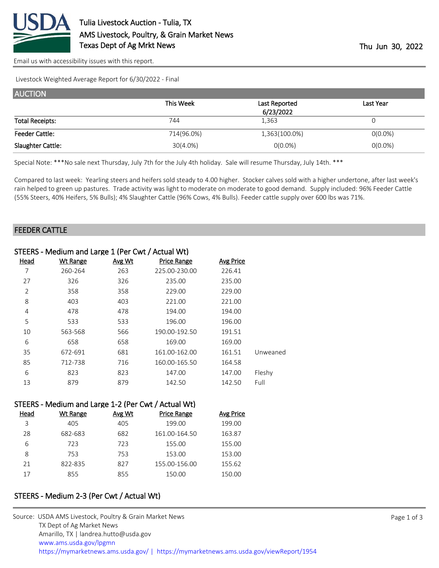

[Email us with accessibility issues with this report.](mailto:mars@ams.usda.gov?subject=508%20issue)

Livestock Weighted Average Report for 6/30/2022 - Final

| <b>AUCTION</b>         |             |               |            |
|------------------------|-------------|---------------|------------|
|                        | This Week   | Last Reported | Last Year  |
|                        |             | 6/23/2022     |            |
| <b>Total Receipts:</b> | 744         | 1,363         | U          |
| <b>Feeder Cattle:</b>  | 714(96.0%)  | 1,363(100.0%) | $O(0.0\%)$ |
| Slaughter Cattle:      | $30(4.0\%)$ | $0(0.0\%)$    | $0(0.0\%)$ |

Special Note: \*\*\*No sale next Thursday, July 7th for the July 4th holiday. Sale will resume Thursday, July 14th. \*\*\*

Compared to last week: Yearling steers and heifers sold steady to 4.00 higher. Stocker calves sold with a higher undertone, after last week's rain helped to green up pastures. Trade activity was light to moderate on moderate to good demand. Supply included: 96% Feeder Cattle (55% Steers, 40% Heifers, 5% Bulls); 4% Slaughter Cattle (96% Cows, 4% Bulls). Feeder cattle supply over 600 lbs was 71%.

## FEEDER CATTLE

|                | STEERS - Medium and Large 1 (Per Cwt / Actual Wt) |        |               |                  |          |
|----------------|---------------------------------------------------|--------|---------------|------------------|----------|
| <u>Head</u>    | <b>Wt Range</b>                                   | Avg Wt | Price Range   | <b>Avg Price</b> |          |
| 7              | 260-264                                           | 263    | 225.00-230.00 | 226.41           |          |
| 27             | 326                                               | 326    | 235.00        | 235.00           |          |
| $\overline{2}$ | 358                                               | 358    | 229.00        | 229.00           |          |
| 8              | 403                                               | 403    | 221.00        | 221.00           |          |
| 4              | 478                                               | 478    | 194.00        | 194.00           |          |
| 5              | 533                                               | 533    | 196.00        | 196.00           |          |
| 10             | 563-568                                           | 566    | 190.00-192.50 | 191.51           |          |
| 6              | 658                                               | 658    | 169.00        | 169.00           |          |
| 35             | 672-691                                           | 681    | 161.00-162.00 | 161.51           | Unweaned |
| 85             | 712-738                                           | 716    | 160.00-165.50 | 164.58           |          |
| 6              | 823                                               | 823    | 147.00        | 147.00           | Fleshy   |
| 13             | 879                                               | 879    | 142.50        | 142.50           | Full     |
|                |                                                   |        |               |                  |          |

|      | STEERS - Medium and Large 1-2 (Per Cwt / Actual Wt) |        |                    |                  |
|------|-----------------------------------------------------|--------|--------------------|------------------|
| Head | Wt Range                                            | Avg Wt | <b>Price Range</b> | <b>Avg Price</b> |
| 3    | 405                                                 | 405    | 199.00             | 199.00           |
| 28   | 682-683                                             | 682    | 161.00-164.50      | 163.87           |
| 6    | 723                                                 | 723    | 155.00             | 155.00           |
| 8    | 753                                                 | 753    | 153.00             | 153.00           |
| 21   | 822-835                                             | 827    | 155.00-156.00      | 155.62           |
| 17   | 855                                                 | 855    | 150.00             | 150.00           |

## STEERS - Medium 2-3 (Per Cwt / Actual Wt)

| Source: USDA AMS Livestock, Poultry & Grain Market News                                |
|----------------------------------------------------------------------------------------|
| TX Dept of Ag Market News                                                              |
| Amarillo, TX   landrea.hutto@usda.gov                                                  |
| www.ams.usda.gov/lpgmn                                                                 |
| https://mymarketnews.ams.usda.gov/   https://mymarketnews.ams.usda.gov/viewReport/1954 |
|                                                                                        |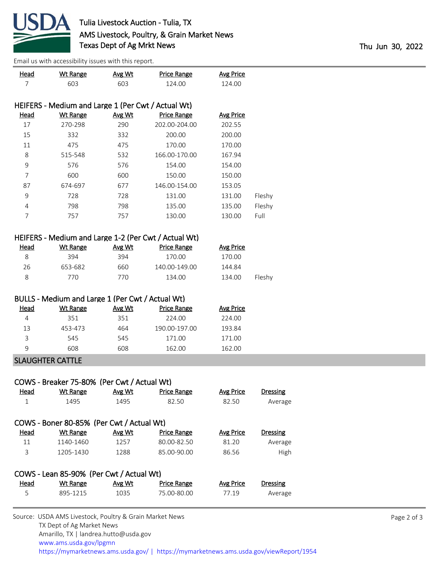

[Email us with accessibility issues with this report.](mailto:mars@ams.usda.gov?subject=508%20issue)

| <b>Head</b>           | <b>Wt Range</b>                                    | Avg Wt         | <b>Price Range</b>                                   | <b>Avg Price</b>           |                            |
|-----------------------|----------------------------------------------------|----------------|------------------------------------------------------|----------------------------|----------------------------|
| $\overline{7}$        | 603                                                | 603            | 124.00                                               | 124.00                     |                            |
|                       |                                                    |                |                                                      |                            |                            |
|                       | HEIFERS - Medium and Large 1 (Per Cwt / Actual Wt) |                |                                                      |                            |                            |
| <b>Head</b><br>$17\,$ | <b>Wt Range</b><br>270-298                         | Avg Wt<br>290  | <b>Price Range</b><br>202.00-204.00                  | <b>Avg Price</b><br>202.55 |                            |
| 15                    | 332                                                | 332            | 200.00                                               | 200.00                     |                            |
| 11                    | 475                                                | 475            | 170.00                                               | 170.00                     |                            |
|                       | 515-548                                            | 532            | 166.00-170.00                                        | 167.94                     |                            |
| 8<br>9                | 576                                                | 576            | 154.00                                               | 154.00                     |                            |
| 7                     | 600                                                |                |                                                      | 150.00                     |                            |
|                       |                                                    | 600<br>677     | 150.00                                               |                            |                            |
| 87                    | 674-697                                            |                | 146.00-154.00                                        | 153.05                     |                            |
| 9                     | 728                                                | 728            | 131.00                                               | 131.00                     | Fleshy                     |
| 4                     | 798                                                | 798            | 135.00                                               | 135.00                     | Fleshy                     |
| $\overline{7}$        | 757                                                | 757            | 130.00                                               | 130.00                     | Full                       |
|                       |                                                    |                | HEIFERS - Medium and Large 1-2 (Per Cwt / Actual Wt) |                            |                            |
| <b>Head</b>           | <b>Wt Range</b>                                    | Avg Wt         | <b>Price Range</b>                                   | <b>Avg Price</b>           |                            |
| 8                     | 394                                                | 394            | 170.00                                               | 170.00                     |                            |
|                       | 653-682                                            | 660            | 140.00-149.00                                        | 144.84                     |                            |
|                       |                                                    |                |                                                      |                            |                            |
| 26                    |                                                    |                |                                                      |                            |                            |
| 8                     | 770                                                | 770            | 134.00                                               | 134.00                     | Fleshy                     |
|                       |                                                    |                |                                                      |                            |                            |
| <b>Head</b>           | BULLS - Medium and Large 1 (Per Cwt / Actual Wt)   |                |                                                      |                            |                            |
| 4                     | <b>Wt Range</b><br>351                             | Avg Wt<br>351  | <b>Price Range</b><br>224.00                         | <b>Avg Price</b><br>224.00 |                            |
| 13                    | 453-473                                            | 464            | 190.00-197.00                                        | 193.84                     |                            |
|                       |                                                    |                |                                                      |                            |                            |
| 3<br>9                | 545                                                | 545            | 171.00                                               | 171.00                     |                            |
|                       | 608                                                | 608            | 162.00                                               | 162.00                     |                            |
|                       | <b>SLAUGHTER CATTLE</b>                            |                |                                                      |                            |                            |
|                       |                                                    |                |                                                      |                            |                            |
|                       | COWS - Breaker 75-80% (Per Cwt / Actual Wt)        |                |                                                      |                            |                            |
| <u>Head</u>           | <b>Wt Range</b>                                    | Avg Wt         | <b>Price Range</b>                                   | <b>Avg Price</b>           | Dressing                   |
| $\mathbf{1}$          | 1495                                               | 1495           | 82.50                                                | 82.50                      | Average                    |
|                       | COWS - Boner 80-85% (Per Cwt / Actual Wt)          |                |                                                      |                            |                            |
|                       | <b>Wt Range</b>                                    |                |                                                      |                            | <b>Dressing</b>            |
| <b>Head</b><br>11     | 1140-1460                                          | Avg Wt<br>1257 | <b>Price Range</b><br>80.00-82.50                    | <b>Avg Price</b><br>81.20  |                            |
| 3                     | 1205-1430                                          | 1288           | 85.00-90.00                                          | 86.56                      | Average<br>High            |
|                       |                                                    |                |                                                      |                            |                            |
|                       | COWS - Lean 85-90% (Per Cwt / Actual Wt)           |                |                                                      |                            |                            |
| <b>Head</b><br>5      | <b>Wt Range</b><br>895-1215                        | Avg Wt<br>1035 | <b>Price Range</b><br>75.00-80.00                    | <b>Avg Price</b><br>77.19  | <b>Dressing</b><br>Average |